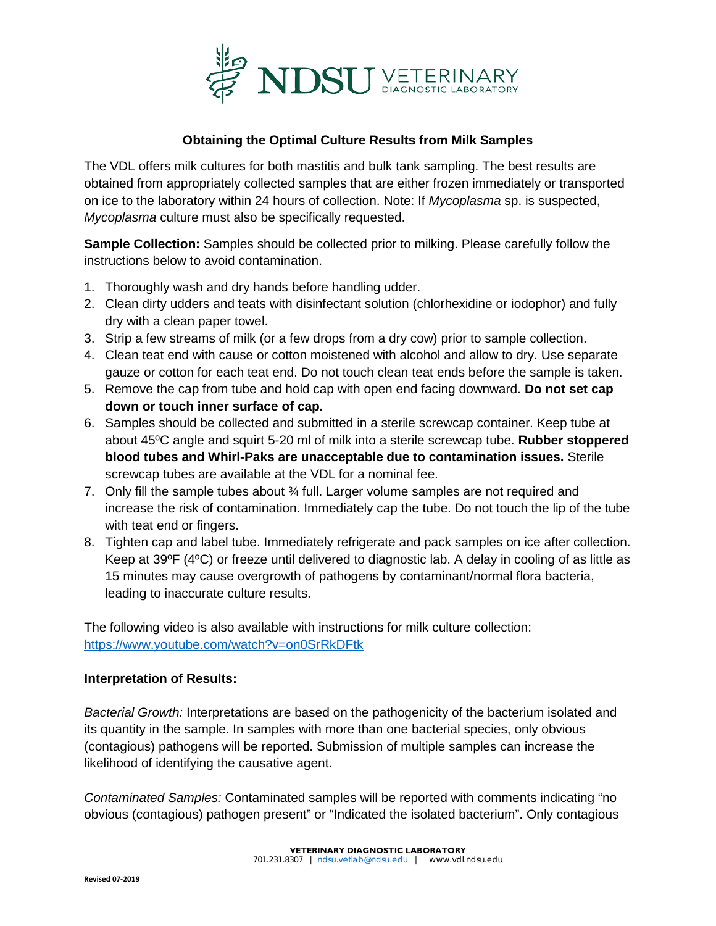

## **Obtaining the Optimal Culture Results from Milk Samples**

The VDL offers milk cultures for both mastitis and bulk tank sampling. The best results are obtained from appropriately collected samples that are either frozen immediately or transported on ice to the laboratory within 24 hours of collection. Note: If *Mycoplasma* sp. is suspected, *Mycoplasma* culture must also be specifically requested.

**Sample Collection:** Samples should be collected prior to milking. Please carefully follow the instructions below to avoid contamination.

- 1. Thoroughly wash and dry hands before handling udder.
- 2. Clean dirty udders and teats with disinfectant solution (chlorhexidine or iodophor) and fully dry with a clean paper towel.
- 3. Strip a few streams of milk (or a few drops from a dry cow) prior to sample collection.
- 4. Clean teat end with cause or cotton moistened with alcohol and allow to dry. Use separate gauze or cotton for each teat end. Do not touch clean teat ends before the sample is taken.
- 5. Remove the cap from tube and hold cap with open end facing downward. **Do not set cap down or touch inner surface of cap.**
- 6. Samples should be collected and submitted in a sterile screwcap container. Keep tube at about 45ºC angle and squirt 5-20 ml of milk into a sterile screwcap tube. **Rubber stoppered blood tubes and Whirl-Paks are unacceptable due to contamination issues.** Sterile screwcap tubes are available at the VDL for a nominal fee.
- 7. Only fill the sample tubes about 3/4 full. Larger volume samples are not required and increase the risk of contamination. Immediately cap the tube. Do not touch the lip of the tube with teat end or fingers.
- 8. Tighten cap and label tube. Immediately refrigerate and pack samples on ice after collection. Keep at 39ºF (4ºC) or freeze until delivered to diagnostic lab. A delay in cooling of as little as 15 minutes may cause overgrowth of pathogens by contaminant/normal flora bacteria, leading to inaccurate culture results.

The following video is also available with instructions for milk culture collection: <https://www.youtube.com/watch?v=on0SrRkDFtk>

## **Interpretation of Results:**

*Bacterial Growth:* Interpretations are based on the pathogenicity of the bacterium isolated and its quantity in the sample. In samples with more than one bacterial species, only obvious (contagious) pathogens will be reported. Submission of multiple samples can increase the likelihood of identifying the causative agent.

*Contaminated Samples:* Contaminated samples will be reported with comments indicating "no obvious (contagious) pathogen present" or "Indicated the isolated bacterium". Only contagious